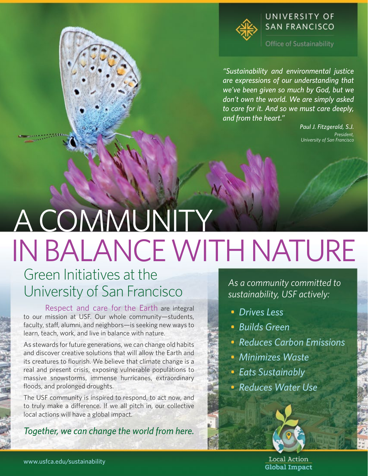

Office of Sustainability

*"Sustainability and environmental justice are expressions of our understanding that we've been given so much by God, but we don't own the world. We are simply asked to care for it. And so we must care deeply, and from the heart."*

> *Paul J. Fitzgerald, S.J. President, University of San Francisco*

# A COMMUNITY IN BALANCE WITH NATURE

### Green Initiatives at the University of San Francisco

Respect and care for the Earth are integral to our mission at USF. Our whole community—students, faculty, staff, alumni, and neighbors—is seeking new ways to learn, teach, work, and live in balance with nature.

As stewards for future generations, we can change old habits and discover creative solutions that will allow the Earth and its creatures to flourish. We believe that climate change is a real and present crisis, exposing vulnerable populations to massive snowstorms, immense hurricanes, extraordinary floods, and prolonged droughts.

The USF community is inspired to respond, to act now, and to truly make a difference. If we all pitch in, our collective local actions will have a global impact.

*Together, we can change the world from here.*

*As a community committed to sustainability, USF actively:*

- *Drives Less*
- *Builds Green*
- *Reduces Carbon Emissions*
- *Minimizes Waste*
- *Eats Sustainably*
- *Reduces Water Use*

Local Action **Global Impact**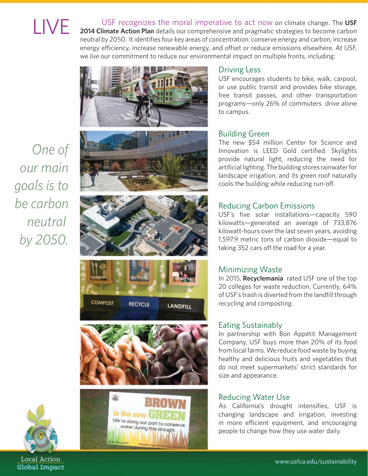**LIVE** [2014 Climate Action Plan](http://web.usfca.edu/uploadedFiles/Destinations/Offices_and_Services/Business_and_Finance/Facilities_Management/docs/USF%20Climate%20Action%20Plan_Submit_Dec2014.pdf) details our comprehensive and pragmatic strategies to become carbon<br> **2014 Climate Action Plan** details our comprehensive and pragmatic strategies to become carbon neutral by 2050. It identifies four key areas of concentration: conserve energy and carbon, increase energy efficiency, increase renewable energy, and offset or reduce emissions elsewhere. At USF, we *live* our commitment to reduce our environmental impact on multiple fronts, including:













#### Driving Less

USF encourages students to bike, walk, carpool, or use public transit and provides bike storage, free transit passes, and other transportation programs—only 26% of commuters drive alone to campus.

#### Building Green

The new \$54 million Center for Science and Innovation is LEED Gold certified. Skylights provide natural light, reducing the need for artificial lighting. The building stores rainwater for landscape irrigation, and its green roof naturally cools the building while reducing run-off.

#### Reducing Carbon Emissions

USF's five solar installations—capacity 590 kilowatts—generated an average of 733,876 kilowatt-hours over the last seven years, avoiding 1,597.9 metric tons of carbon dioxide—equal to taking 352 cars off the road for a year.

#### Minimizing Waste

In 2015, **[Recyclemania](http://recyclemaniacs.org/scoreboard/current-results/competition-division)** rated USF one of the top 20 colleges for waste reduction. Currently, 64% of USF's trash is diverted from the landfill through recycling and composting.

#### Eating Sustainably

In partnership with Bon Appétit Management Company, USF buys more than 20% of its food from local farms. We reduce food waste by buying healthy and delicious fruits and vegetables that do not meet supermarkets' strict standards for size and appearance.

#### Reducing Water Use

As California's drought intensifies, USF is changing landscape and irrigation, investing in more efficient equipment, and encouraging people to change how they use water daily.

*One of our main goals is to be carbon neutral by 2050.*



Local Action **Global Impact**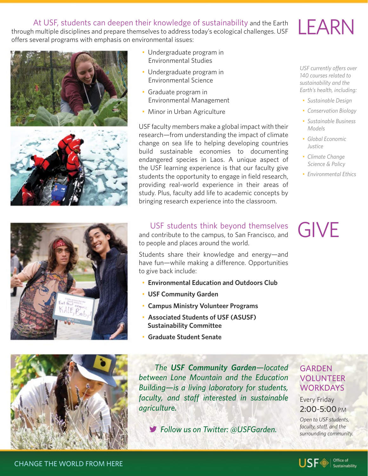#### At USF, students can deepen their knowledge of sustainability and the Earth

through multiple disciplines and prepare themselves to address today's ecological challenges. USF offers several programs with emphasis on environmental issues:





- Undergraduate program in Environmental Studies
- Undergraduate program in Environmental Science
- Graduate program in Environmental Management
- Minor in Urban Agriculture

USF faculty members make a global impact with their research—from understanding the impact of climate change on sea life to helping developing countries build sustainable economies to documenting endangered species in Laos. A unique aspect of the USF learning experience is that our faculty give students the opportunity to engage in field research, providing real-world experience in their areas of study. Plus, faculty add life to academic concepts by bringing research experience into the classroom.

LEARN

*USF currently offers over 140 courses related to sustainability and the Earth's health, including:*

- *Sustainable Design*
- *Conservation Biology*
- *Sustainable Business Models*
- *Global Economic Justice*
- *Climate Change Science & Policy*
- *Environmental Ethics*





#### USF students think beyond themselves

and contribute to the campus, to San Francisco, and to people and places around the world.

Students share their knowledge and energy—and have fun—while making a difference. Opportunities to give back include:

- **[Environmental Education and Outdoors Club](https://www.facebook.com/USFEJOC)**
- **[USF Community Garden](https://www.usfca.edu/arts-sciences/undergraduate-programs/urban-agriculture/community-garden)**
- **[Campus Ministry Volunteer Programs](https://www.usfca.edu/university-ministry)**
- **[Associated Students of USF \(ASUSF\)](http://web.usfca.edu/sle/asusf/opportunities/ )   [Sustainability Committee](http://web.usfca.edu/sle/asusf/opportunities/ )**
- **[Graduate Student Senate](https://www.usfca.edu/student-life/student-activities/graduate-student-organizations/graduate-student-senate)**

 *The [USF Community Garden](https://www.facebook.com/pages/USF-Community-Garden/132914483443083)—located between Lone Mountain and the Education Building—is a living laboratory for students, faculty, and staff interested in sustainable agriculture.*

*Follow us on Twitter: @USFGarden.*

## GIVE

#### GARDEN VOLUNTEER **WORKDAYS**

Every Friday 2:00-5:00 PM

*Open to USF students, faculty, staff, and the surrounding community.*